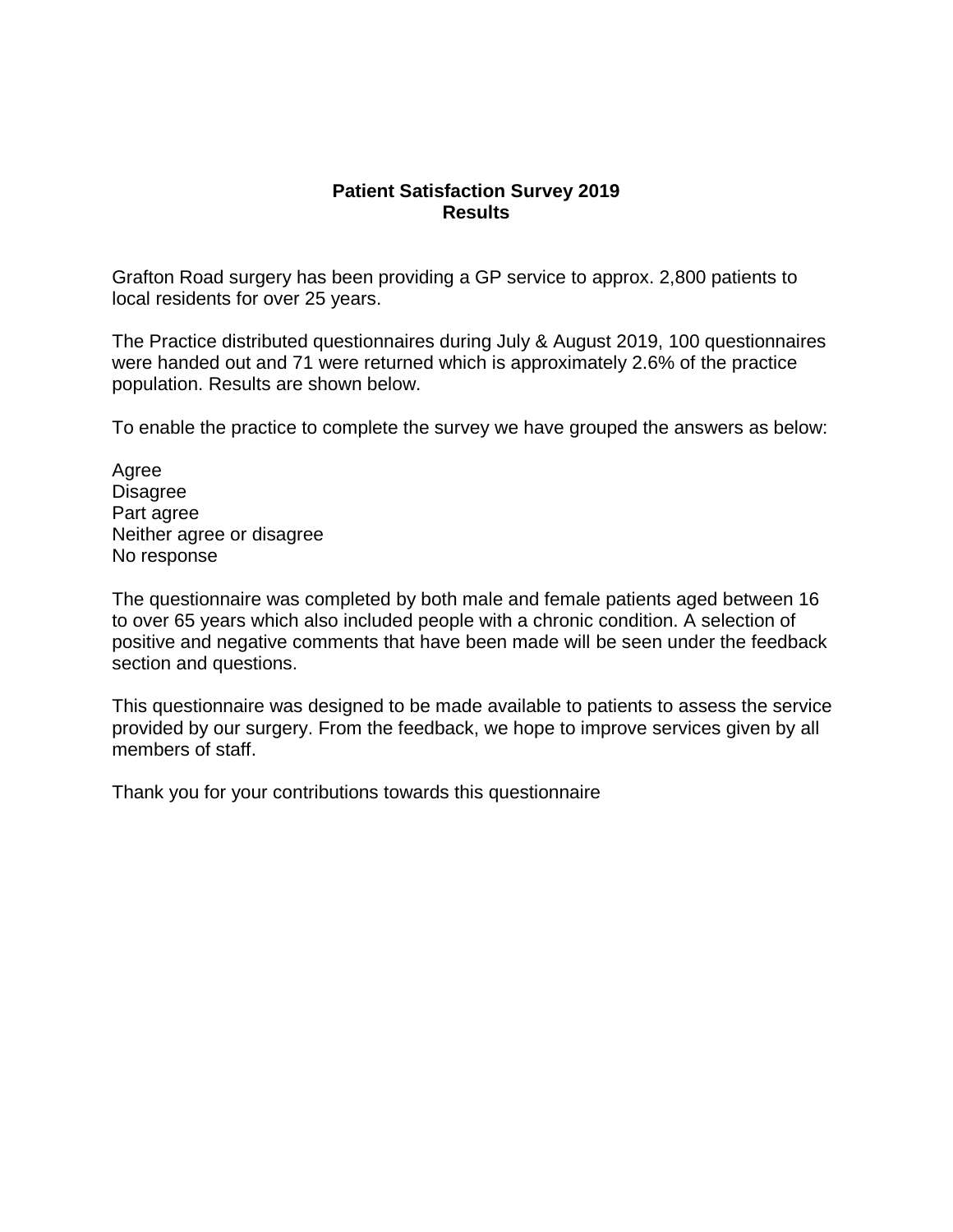# **Patient Satisfaction Survey 2019 Results**

 Grafton Road surgery has been providing a GP service to approx. 2,800 patients to local residents for over 25 years.

 were handed out and 71 were returned which is approximately 2.6% of the practice The Practice distributed questionnaires during July & August 2019, 100 questionnaires population. Results are shown below.

To enable the practice to complete the survey we have grouped the answers as below:

No response Agree Disagree Part agree Neither agree or disagree

No response<br>The questionnaire was completed by both male and female patients aged between 16 positive and negative comments that have been made will be seen under the feedback to over 65 years which also included people with a chronic condition. A selection of section and questions.

 provided by our surgery. From the feedback, we hope to improve services given by all This questionnaire was designed to be made available to patients to assess the service members of staff.

Thank you for your contributions towards this questionnaire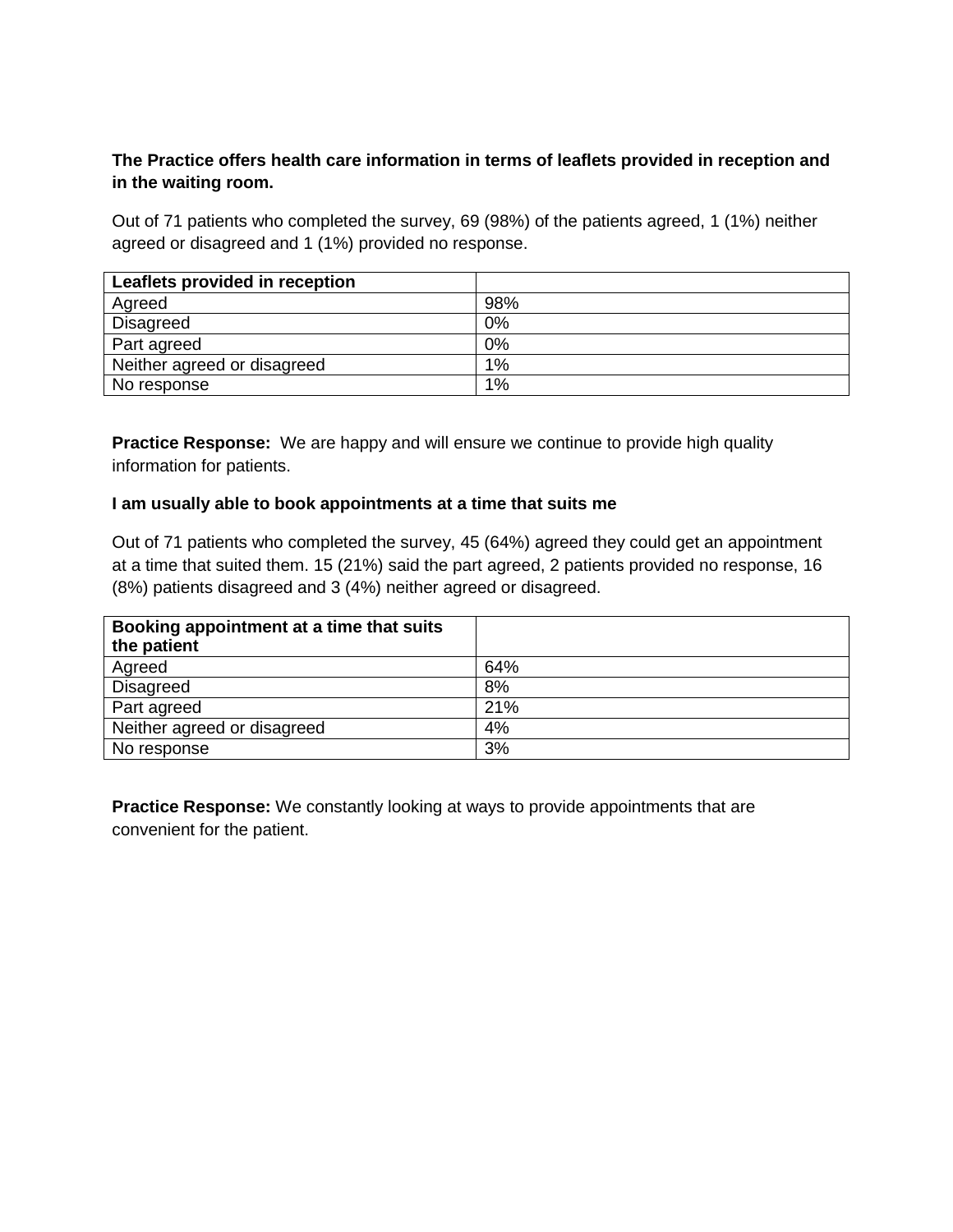# **The Practice offers health care information in terms of leaflets provided in reception and in the waiting room.**

 Out of 71 patients who completed the survey, 69 (98%) of the patients agreed, 1 (1%) neither agreed or disagreed and 1 (1%) provided no response.

| Leaflets provided in reception |       |
|--------------------------------|-------|
| Agreed                         | 98%   |
| Disagreed                      | $0\%$ |
| Part agreed                    | 0%    |
| Neither agreed or disagreed    | 1%    |
| No response                    | 1%    |

 **Practice Response:** We are happy and will ensure we continue to provide high quality information for patients.

## **I am usually able to book appointments at a time that suits me**

 Out of 71 patients who completed the survey, 45 (64%) agreed they could get an appointment at a time that suited them. 15 (21%) said the part agreed, 2 patients provided no response, 16 (8%) patients disagreed and 3 (4%) neither agreed or disagreed.

| Booking appointment at a time that suits |     |
|------------------------------------------|-----|
| the patient                              |     |
| Agreed                                   | 64% |
| Disagreed                                | 8%  |
| Part agreed                              | 21% |
| Neither agreed or disagreed              | 4%  |
| No response                              | 3%  |

 **Practice Response:** We constantly looking at ways to provide appointments that are convenient for the patient.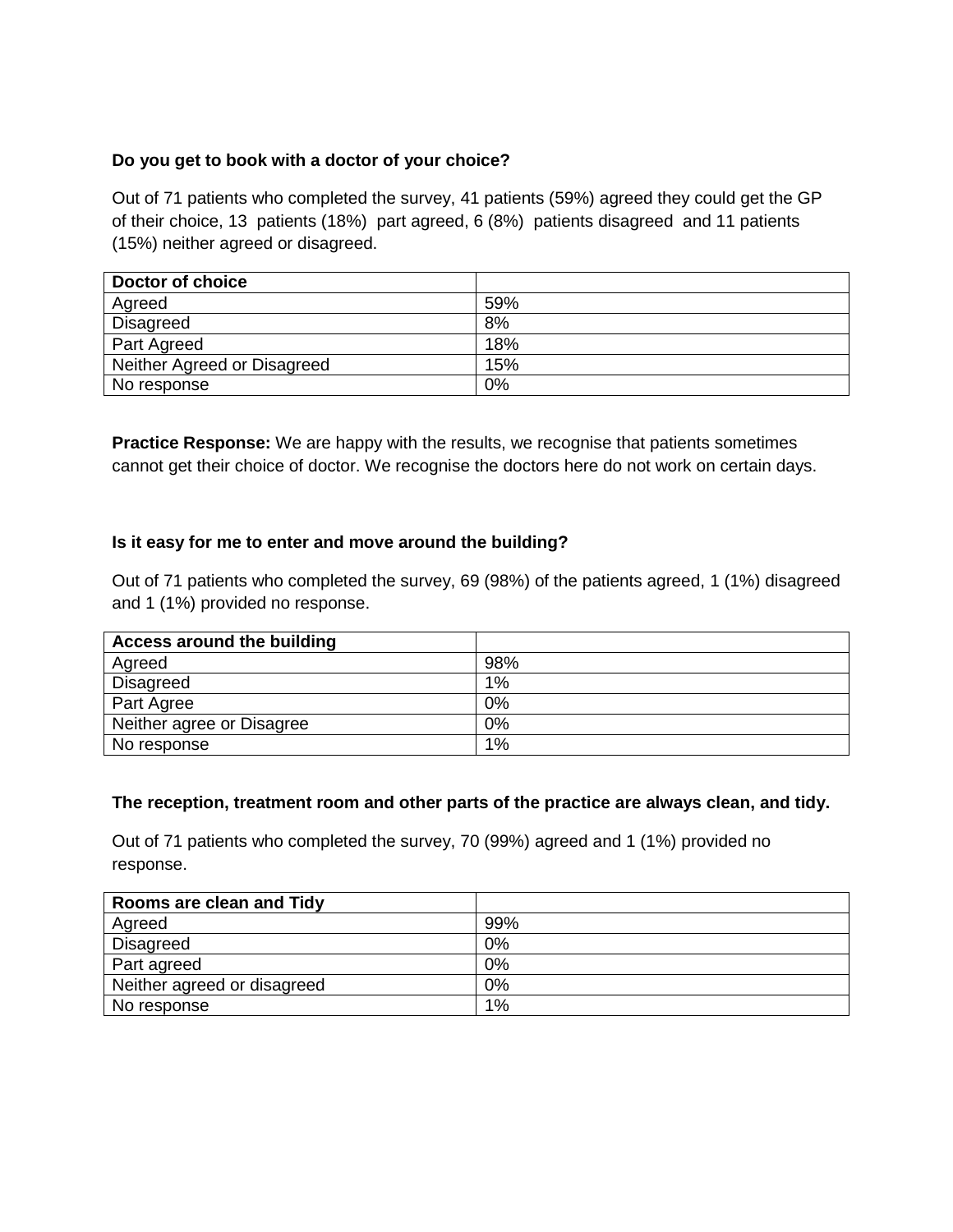# **Do you get to book with a doctor of your choice?**

 Out of 71 patients who completed the survey, 41 patients (59%) agreed they could get the GP of their choice, 13 patients (18%) part agreed, 6 (8%) patients disagreed and 11 patients (15%) neither agreed or disagreed.

| Doctor of choice            |     |
|-----------------------------|-----|
| Agreed                      | 59% |
| Disagreed                   | 8%  |
| Part Agreed                 | 18% |
| Neither Agreed or Disagreed | 15% |
| No response                 | 0%  |

 **Practice Response:** We are happy with the results, we recognise that patients sometimes cannot get their choice of doctor. We recognise the doctors here do not work on certain days.

# **Is it easy for me to enter and move around the building?**

 Out of 71 patients who completed the survey, 69 (98%) of the patients agreed, 1 (1%) disagreed and 1 (1%) provided no response.

| Access around the building |       |
|----------------------------|-------|
| Agreed                     | 98%   |
| <b>Disagreed</b>           | $1\%$ |
| Part Agree                 | 0%    |
| Neither agree or Disagree  | 0%    |
| No response                | 1%    |

## **The reception, treatment room and other parts of the practice are always clean, and tidy.**

 Out of 71 patients who completed the survey, 70 (99%) agreed and 1 (1%) provided no response.

| Rooms are clean and Tidy    |     |
|-----------------------------|-----|
| Agreed                      | 99% |
| Disagreed                   | 0%  |
| Part agreed                 | 0%  |
| Neither agreed or disagreed | 0%  |
| No response                 | 1%  |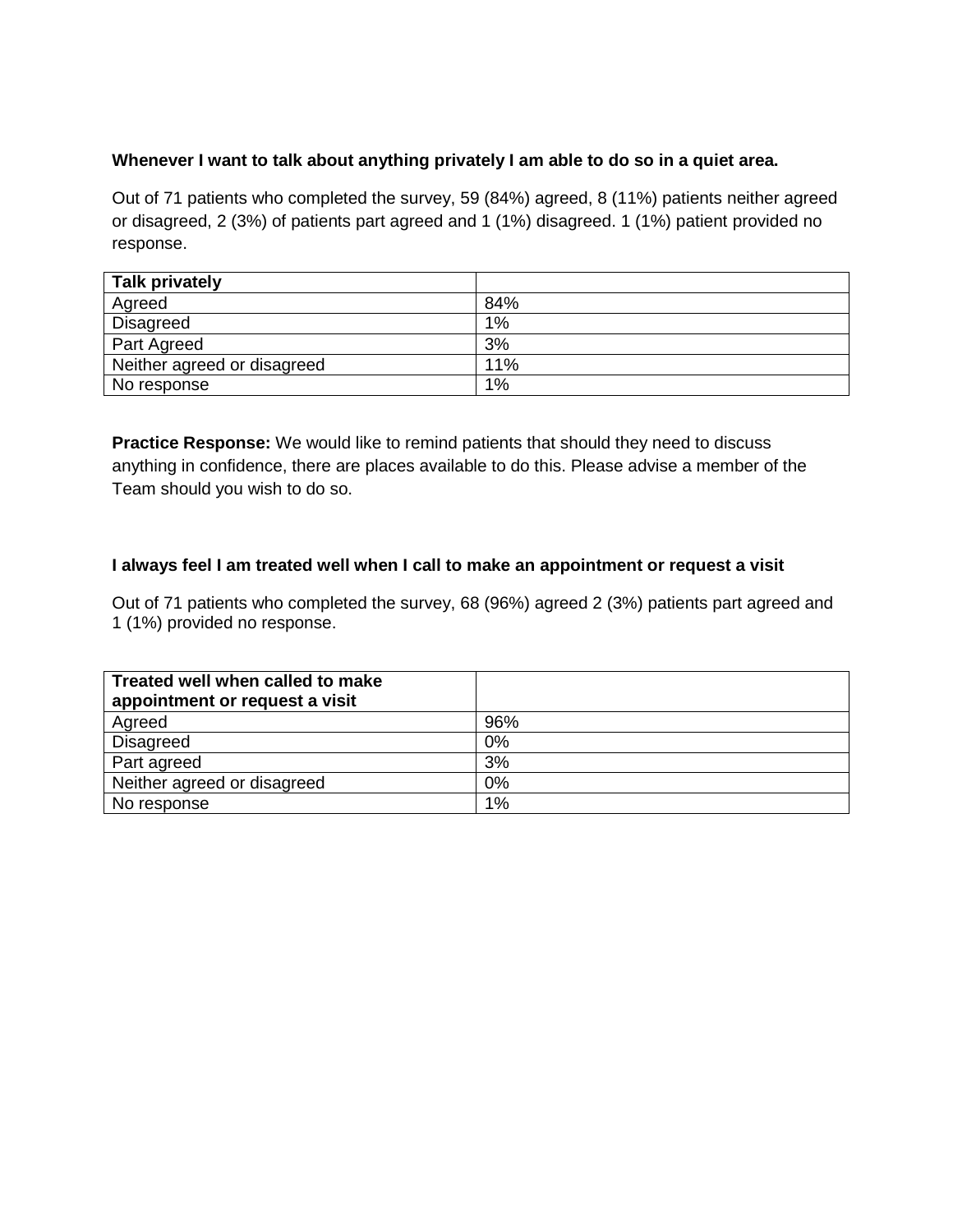# **Whenever I want to talk about anything privately I am able to do so in a quiet area.**

 Out of 71 patients who completed the survey, 59 (84%) agreed, 8 (11%) patients neither agreed or disagreed, 2 (3%) of patients part agreed and 1 (1%) disagreed. 1 (1%) patient provided no response.

| <b>Talk privately</b>       |       |
|-----------------------------|-------|
| Agreed                      | 84%   |
| Disagreed                   | $1\%$ |
| Part Agreed                 | 3%    |
| Neither agreed or disagreed | 11%   |
| No response                 | $1\%$ |

 **Practice Response:** We would like to remind patients that should they need to discuss anything in confidence, there are places available to do this. Please advise a member of the Team should you wish to do so.

# **I always feel I am treated well when I call to make an appointment or request a visit**

 Out of 71 patients who completed the survey, 68 (96%) agreed 2 (3%) patients part agreed and 1 (1%) provided no response.

| Treated well when called to make<br>appointment or request a visit |     |
|--------------------------------------------------------------------|-----|
| Agreed                                                             | 96% |
| Disagreed                                                          | 0%  |
| Part agreed                                                        | 3%  |
| Neither agreed or disagreed                                        | 0%  |
| No response                                                        | 1%  |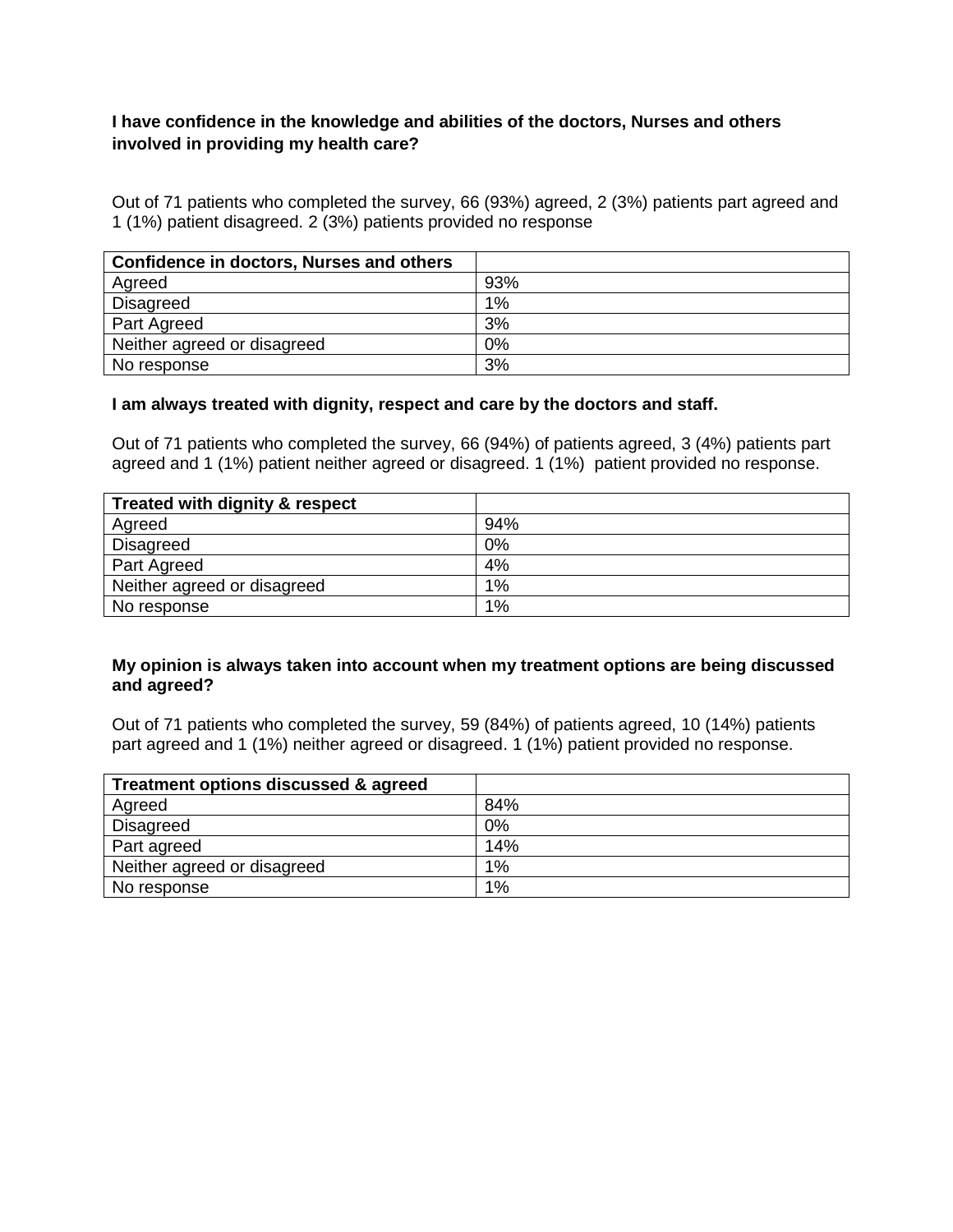# **I have confidence in the knowledge and abilities of the doctors, Nurses and others involved in providing my health care?**

 Out of 71 patients who completed the survey, 66 (93%) agreed, 2 (3%) patients part agreed and 1 (1%) patient disagreed. 2 (3%) patients provided no response

| <b>Confidence in doctors, Nurses and others</b> |     |
|-------------------------------------------------|-----|
| Agreed                                          | 93% |
| Disagreed                                       | 1%  |
| Part Agreed                                     | 3%  |
| Neither agreed or disagreed                     | 0%  |
| No response                                     | 3%  |

#### **I am always treated with dignity, respect and care by the doctors and staff.**

 Out of 71 patients who completed the survey, 66 (94%) of patients agreed, 3 (4%) patients part agreed and 1 (1%) patient neither agreed or disagreed. 1 (1%) patient provided no response.

| Treated with dignity & respect |     |
|--------------------------------|-----|
| Agreed                         | 94% |
| Disagreed                      | 0%  |
| Part Agreed                    | 4%  |
| Neither agreed or disagreed    | 1%  |
| No response                    | 1%  |

#### **My opinion is always taken into account when my treatment options are being discussed and agreed?**

 Out of 71 patients who completed the survey, 59 (84%) of patients agreed, 10 (14%) patients part agreed and 1 (1%) neither agreed or disagreed. 1 (1%) patient provided no response.

| Treatment options discussed & agreed |     |
|--------------------------------------|-----|
| Agreed                               | 84% |
| Disagreed                            | 0%  |
| Part agreed                          | 14% |
| Neither agreed or disagreed          | 1%  |
| No response                          | 1%  |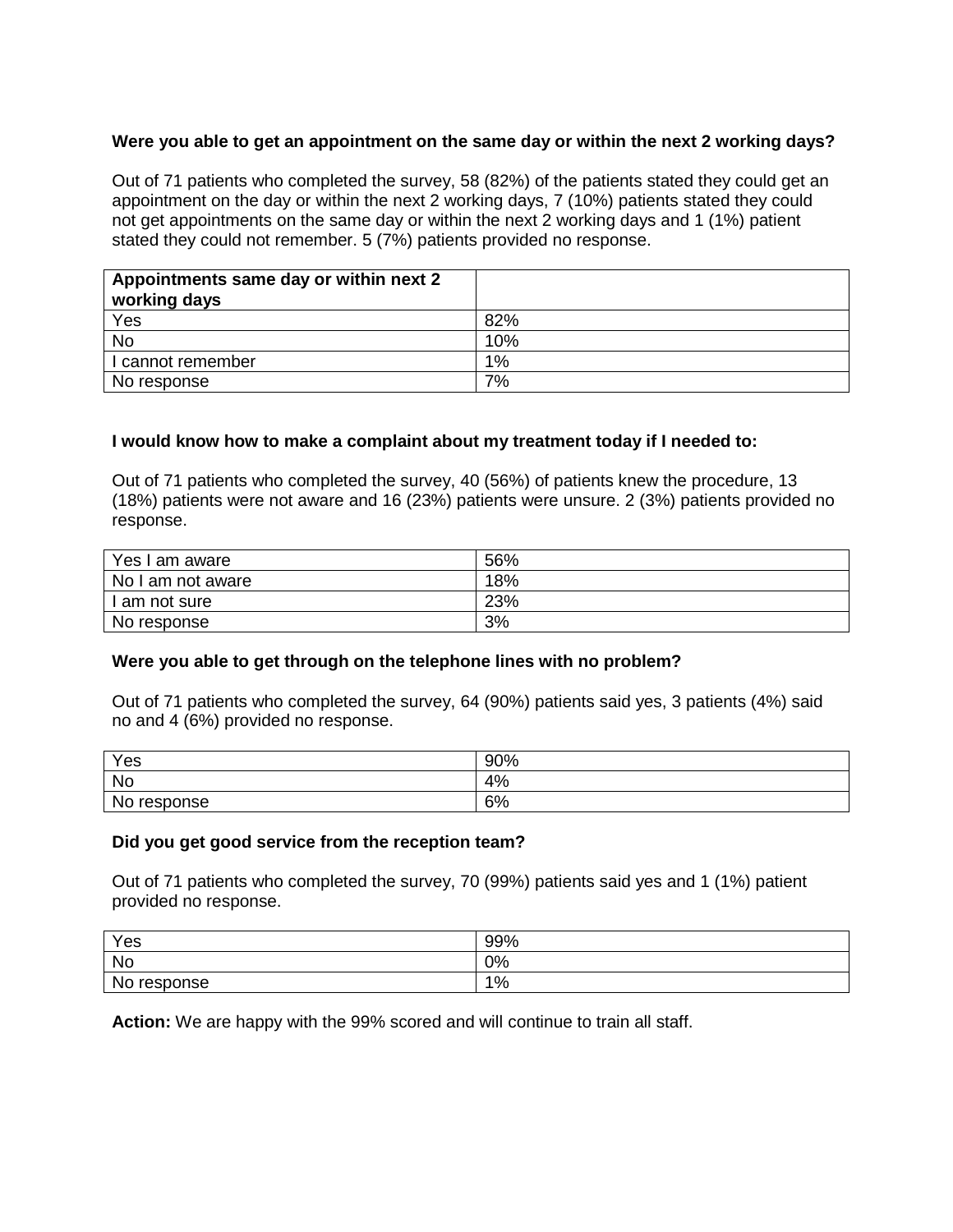## **Were you able to get an appointment on the same day or within the next 2 working days?**

 Out of 71 patients who completed the survey, 58 (82%) of the patients stated they could get an appointment on the day or within the next 2 working days, 7 (10%) patients stated they could not get appointments on the same day or within the next 2 working days and 1 (1%) patient stated they could not remember. 5 (7%) patients provided no response.

| Appointments same day or within next 2<br>working days |       |
|--------------------------------------------------------|-------|
| $\frac{Yes}{No}$                                       | 82%   |
|                                                        | 10%   |
| I cannot remember                                      | $1\%$ |
| No response                                            | 7%    |

## **I would know how to make a complaint about my treatment today if I needed to:**

 Out of 71 patients who completed the survey, 40 (56%) of patients knew the procedure, 13 (18%) patients were not aware and 16 (23%) patients were unsure. 2 (3%) patients provided no response.

| Yes I am aware    | 56% |
|-------------------|-----|
| No I am not aware | 18% |
| I am not sure     | 23% |
| No response       | 3%  |

## **Were you able to get through on the telephone lines with no problem?**

 Out of 71 patients who completed the survey, 64 (90%) patients said yes, 3 patients (4%) said no and 4 (6%) provided no response.

| Yes            | 90% |
|----------------|-----|
| No             | 4%  |
| No<br>response | 6%  |

#### **Did you get good service from the reception team?**

 Out of 71 patients who completed the survey, 70 (99%) patients said yes and 1 (1%) patient provided no response.

| Yes            | 99% |
|----------------|-----|
| No             | 0%  |
| No<br>response | 1%  |

**Action:** We are happy with the 99% scored and will continue to train all staff.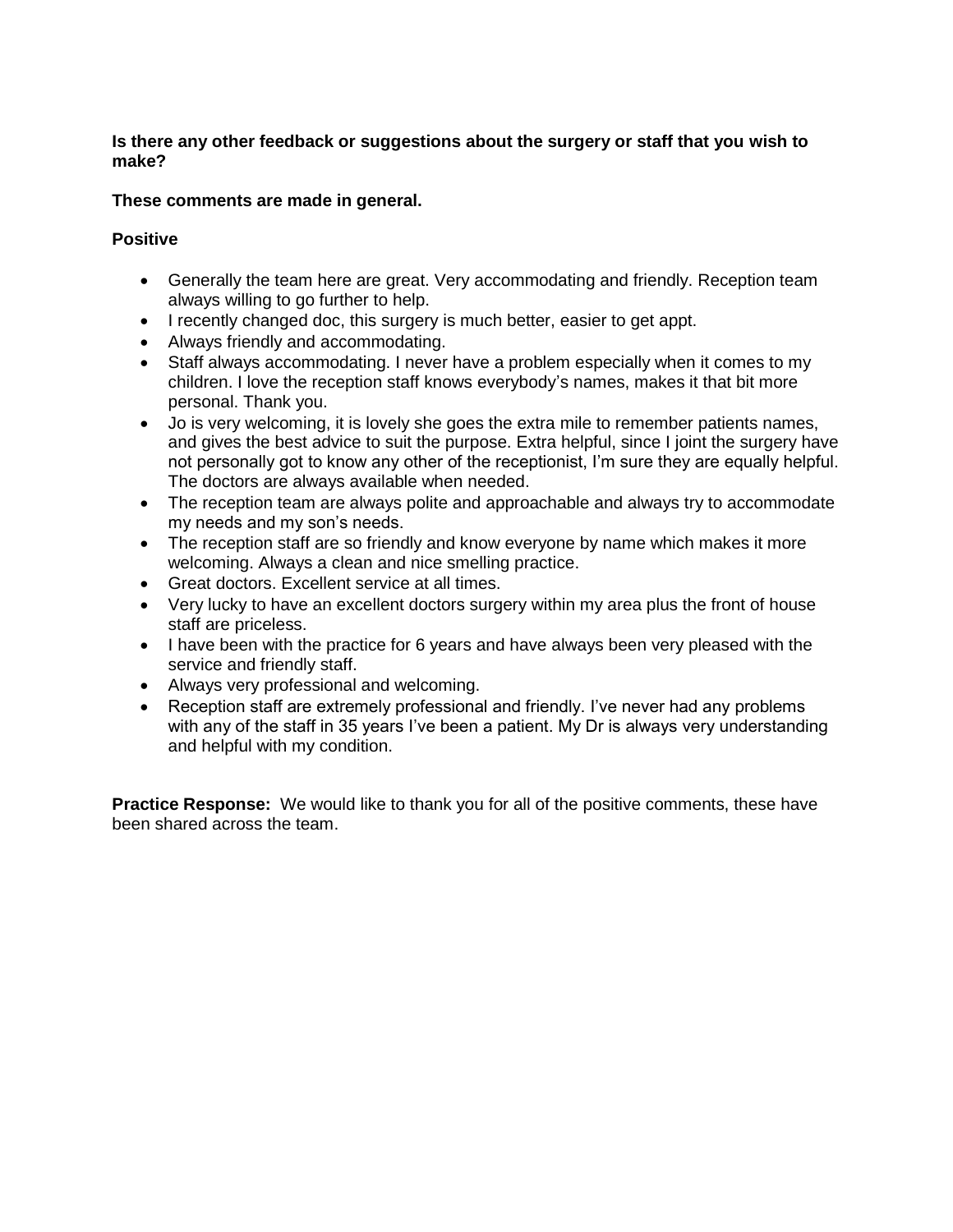#### **Is there any other feedback or suggestions about the surgery or staff that you wish to make?**

## **These comments are made in general.**

#### **Positive**

- Generally the team here are great. Very accommodating and friendly. Reception team always willing to go further to help.
- I recently changed doc, this surgery is much better, easier to get appt.
- Always friendly and accommodating.
- Staff always accommodating. I never have a problem especially when it comes to my children. I love the reception staff knows everybody's names, makes it that bit more personal. Thank you.
- Jo is very welcoming, it is lovely she goes the extra mile to remember patients names, and gives the best advice to suit the purpose. Extra helpful, since I joint the surgery have not personally got to know any other of the receptionist, I'm sure they are equally helpful. The doctors are always available when needed.
- The reception team are always polite and approachable and always try to accommodate my needs and my son's needs.
- The reception staff are so friendly and know everyone by name which makes it more welcoming. Always a clean and nice smelling practice.
- Great doctors. Excellent service at all times.
- Very lucky to have an excellent doctors surgery within my area plus the front of house staff are priceless.
- I have been with the practice for 6 years and have always been very pleased with the service and friendly staff.
- Always very professional and welcoming.
- Reception staff are extremely professional and friendly. I've never had any problems with any of the staff in 35 years I've been a patient. My Dr is always very understanding and helpful with my condition.

**Practice Response:** We would like to thank you for all of the positive comments, these have been shared across the team.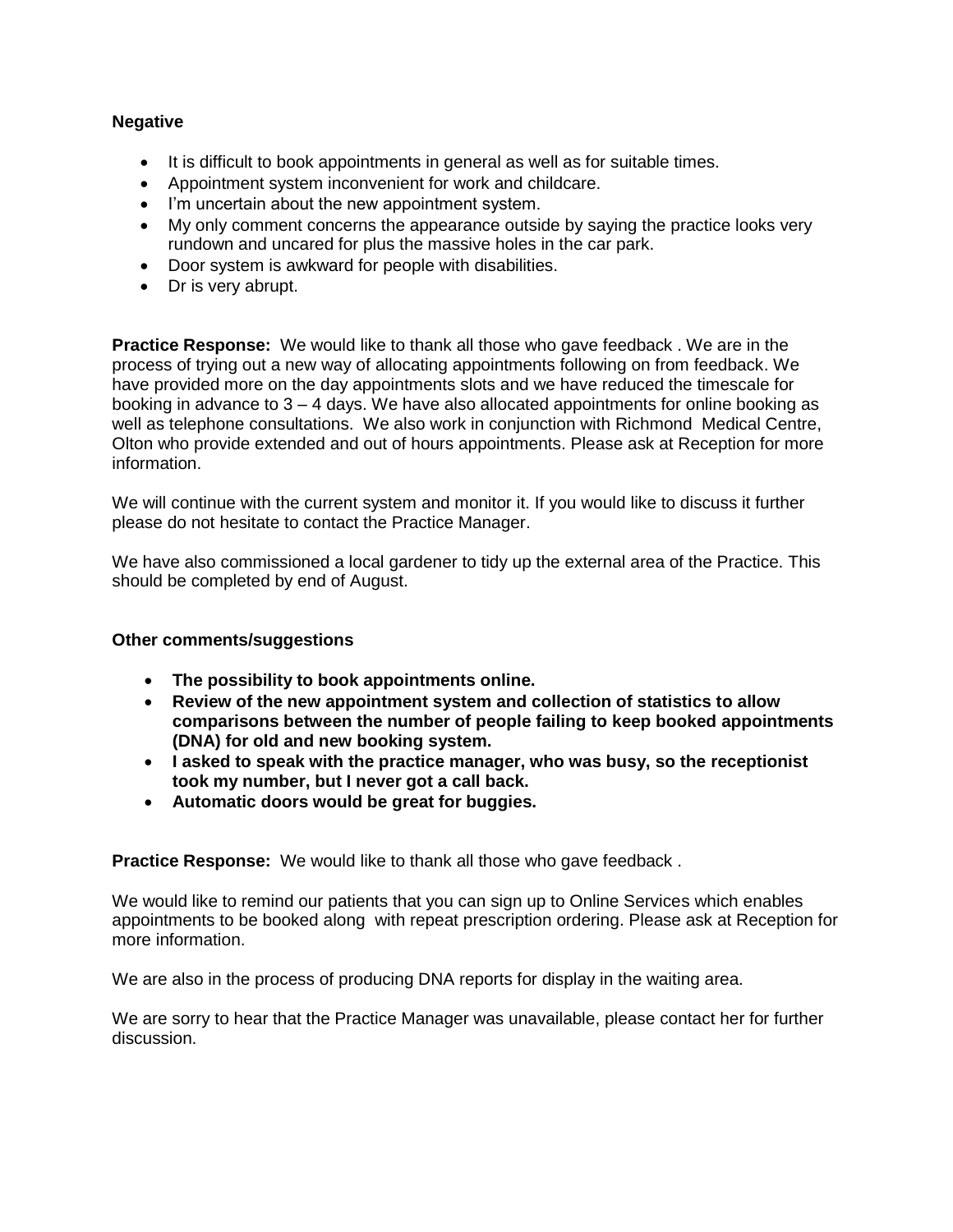## **Negative**

- It is difficult to book appointments in general as well as for suitable times.
- Appointment system inconvenient for work and childcare.
- I'm uncertain about the new appointment system.
- My only comment concerns the appearance outside by saying the practice looks very rundown and uncared for plus the massive holes in the car park.
- Door system is awkward for people with disabilities.
- Dr is very abrupt.

**Practice Response:** We would like to thank all those who gave feedback. We are in the process of trying out a new way of allocating appointments following on from feedback. We have provided more on the day appointments slots and we have reduced the timescale for booking in advance to 3 – 4 days. We have also allocated appointments for online booking as well as telephone consultations. We also work in conjunction with Richmond Medical Centre, Olton who provide extended and out of hours appointments. Please ask at Reception for more information.

information.<br>We will continue with the current system and monitor it. If you would like to discuss it further please do not hesitate to contact the Practice Manager.

 We have also commissioned a local gardener to tidy up the external area of the Practice. This should be completed by end of August.

#### **Other comments/suggestions**

- **The possibility to book appointments online.**
- **Review of the new appointment system and collection of statistics to allow comparisons between the number of people failing to keep booked appointments (DNA) for old and new booking system.**
- **I asked to speak with the practice manager, who was busy, so the receptionist took my number, but I never got a call back.**
- **Automatic doors would be great for buggies.**

**Practice Response:** We would like to thank all those who gave feedback.

 We would like to remind our patients that you can sign up to Online Services which enables appointments to be booked along with repeat prescription ordering. Please ask at Reception for more information. more information.<br>We are also in the process of producing DNA reports for display in the waiting area.

 We are sorry to hear that the Practice Manager was unavailable, please contact her for further discussion.